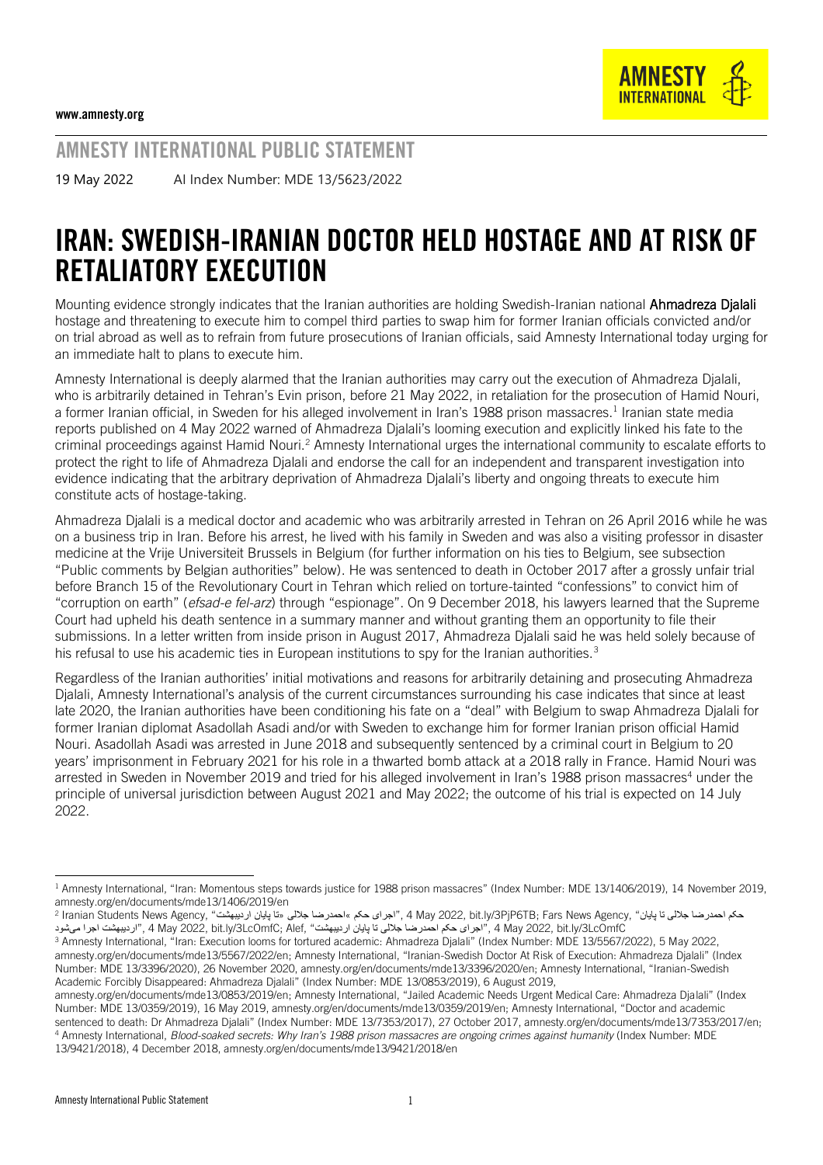AMNESTY INTERNATIONAL PUBLIC STATEMENT

19 May 2022 AI Index Number: MDE 13/5623/2022

# IRAN: SWEDISH-IRANIAN DOCTOR HELD HOSTAGE AND AT RISK OF RETALIATORY EXECUTION

Mounting evidence strongly indicates that the Iranian authorities are holding Swedish-Iranian national Ahmadreza Djalali hostage and threatening to execute him to compel third parties to swap him for former Iranian officials convicted and/or on trial abroad as well as to refrain from future prosecutions of Iranian officials, said Amnesty International today urging for an immediate halt to plans to execute him.

Amnesty International is deeply alarmed that the Iranian authorities may carry out the execution of Ahmadreza Djalali, who is arbitrarily detained in Tehran's Evin prison, before 21 May 2022, in retaliation for the prosecution of Hamid Nouri, a former Iranian official, in Sweden for his alleged involvement in Iran's 1988 prison massacres.<sup>1</sup> Iranian state media reports published on 4 May 2022 warned of Ahmadreza Djalali's looming execution and explicitly linked his fate to the criminal proceedings against Hamid Nouri.<sup>2</sup> Amnesty International urges the international community to escalate efforts to protect the right to life of Ahmadreza Djalali and endorse the call for an independent and transparent investigation into evidence indicating that the arbitrary deprivation of Ahmadreza Djalali's liberty and ongoing threats to execute him constitute acts of hostage-taking.

Ahmadreza Djalali is a medical doctor and academic who was arbitrarily arrested in Tehran on 26 April 2016 while he was on a business trip in Iran. Before his arrest, he lived with his family in Sweden and was also a visiting professor in disaster medicine at the Vrije Universiteit Brussels in Belgium (for further information on his ties to Belgium, see subsection "Public comments by Belgian authorities" below). He was sentenced to death in October 2017 after a grossly unfair trial before Branch 15 of the Revolutionary Court in Tehran which relied on torture-tainted "confessions" to convict him of "corruption on earth" (*efsad-e fel-arz*) through "espionage". On 9 December 2018, his lawyers learned that the Supreme Court had upheld his death sentence in a summary manner and without granting them an opportunity to file their submissions. In a letter written from inside prison in August 2017, Ahmadreza Djalali said he was held solely because of his refusal to use his academic ties in European institutions to spy for the Iranian authorities.<sup>3</sup>

Regardless of the Iranian authorities' initial motivations and reasons for arbitrarily detaining and prosecuting Ahmadreza Djalali, Amnesty International's analysis of the current circumstances surrounding his case indicates that since at least late 2020, the Iranian authorities have been conditioning his fate on a "deal" with Belgium to swap Ahmadreza Djalali for former Iranian diplomat Asadollah Asadi and/or with Sweden to exchange him for former Iranian prison official Hamid Nouri. Asadollah Asadi was arrested in June 2018 and subsequently sentenced by a criminal court in Belgium to 20 years' imprisonment in February 2021 for his role in a thwarted bomb attack at a 2018 rally in France. Hamid Nouri was arrested in Sweden in November 2019 and tried for his alleged involvement in Iran's 1988 prison massacres<sup>4</sup> under the principle of universal jurisdiction between August 2021 and May 2022; the outcome of his trial is expected on 14 July 2022.

<sup>1</sup> Amnesty International, "Iran: Momentous steps towards justice for 1988 prison massacres" (Index Number: MDE 13/1406/2019), 14 November 2019, [amnesty.org/en/documents/mde13/1406/2019/en](https://www.amnesty.org/en/documents/mde13/1406/2019/en/)

<sup>2</sup> حکم احمدرضا جلالی تا پایان" ,A May 2022, bit.ly/3PjP6TB; Fars News Agency, "اجرای حکم »احمدرضا جلالی «تا پایان اردیبهشت" ، 2 Iranian Students News Agency, "خاری می می احمدرضا جلالی «تا پایان اردیبهشت LcOmfC/3ly.bit 2022, May 4 ,"اجرای حکم احمدرضا جاللی تا پایان اردیبهشت" ,Alef; LcOmfC/3ly.bit 2022, May 4 ,"اردیبهشت اجرا میشود

<sup>3</sup> Amnesty International, "Iran: Execution looms for tortured academic: Ahmadreza Djalali" (Index Number: MDE 13/5567/2022), 5 May 2022, amnesty.org/en/documents/mde13/5567/2022/en; Amnesty International, "Iranian-Swedish Doctor At Risk of Execution: Ahmadreza Djalali" (Index Number: MDE 13/3396/2020), 26 November 2020, amnesty.org/en/documents/mde13/3396/2020/en; Amnesty International, "Iranian-Swedish Academic Forcibly Disappeared: Ahmadreza Djalali" (Index Number: MDE 13/0853/2019), 6 August 2019,

amnesty.org/en/documents/mde13/0853/2019/en; Amnesty International, "Jailed Academic Needs Urgent Medical Care: Ahmadreza Djalali" (Index Number: MDE 13/0359/2019), 16 May 2019, amnesty.org/en/documents/mde13/0359/2019/en; Amnesty International, "Doctor and academic sentenced to death: Dr Ahmadreza Djalali" (Index Number: MDE 13/7353/2017), 27 October 2017, amnesty.org/en/documents/mde13/7353/2017/en; <sup>4</sup> Amnesty International, *Blood-soaked secrets: Why Iran's 1988 prison massacres are ongoing crimes against humanity* (Index Number: MDE 13/9421/2018), 4 December 2018, amnesty.org/en/documents/mde13/9421/2018/en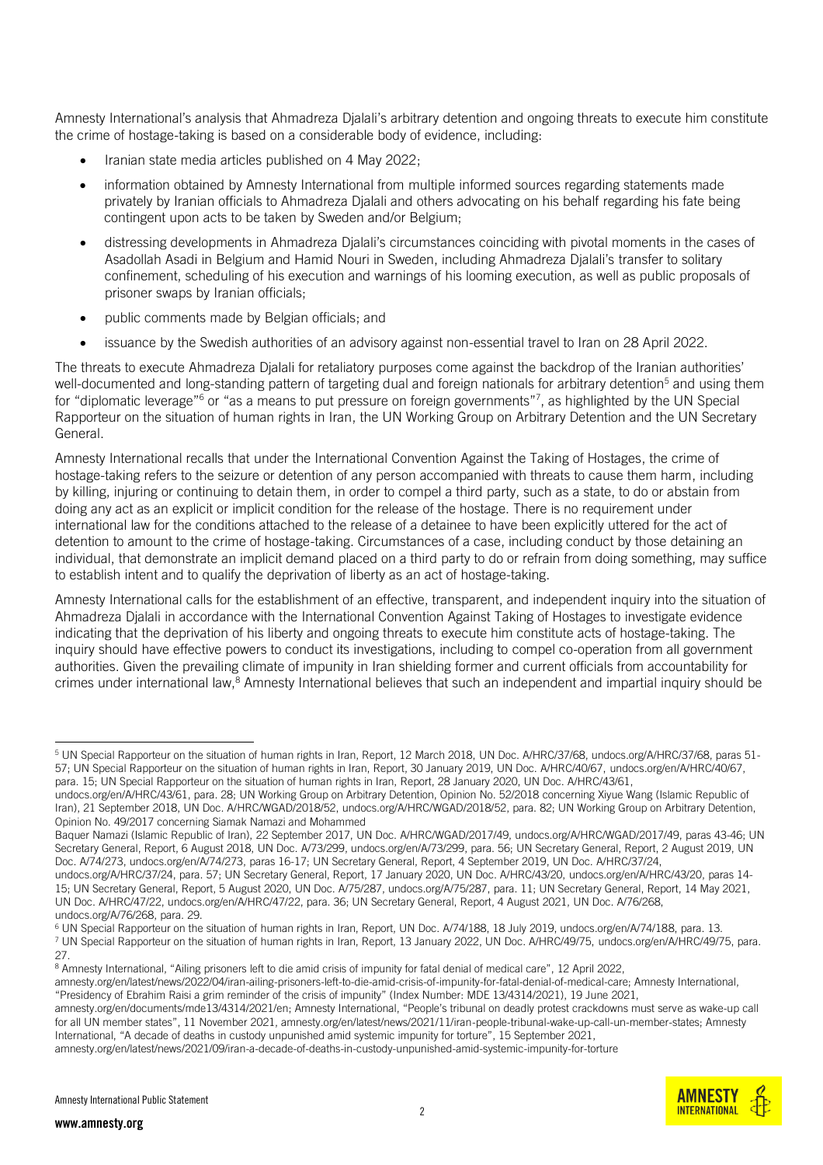Amnesty International's analysis that Ahmadreza Djalali's arbitrary detention and ongoing threats to execute him constitute the crime of hostage-taking is based on a considerable body of evidence, including:

- Iranian state media articles published on 4 May 2022;
- information obtained by Amnesty International from multiple informed sources regarding statements made privately by Iranian officials to Ahmadreza Djalali and others advocating on his behalf regarding his fate being contingent upon acts to be taken by Sweden and/or Belgium;
- distressing developments in Ahmadreza Djalali's circumstances coinciding with pivotal moments in the cases of Asadollah Asadi in Belgium and Hamid Nouri in Sweden, including Ahmadreza Djalali's transfer to solitary confinement, scheduling of his execution and warnings of his looming execution, as well as public proposals of prisoner swaps by Iranian officials;
- public comments made by Belgian officials; and
- issuance by the Swedish authorities of an advisory against non-essential travel to Iran on 28 April 2022.

The threats to execute Ahmadreza Djalali for retaliatory purposes come against the backdrop of the Iranian authorities' well-documented and long-standing pattern of targeting dual and foreign nationals for arbitrary detention<sup>5</sup> and using them for "diplomatic leverage"<sup>6</sup> or "as a means to put pressure on foreign governments"<sup>7</sup>, as highlighted by the UN Special Rapporteur on the situation of human rights in Iran, the UN Working Group on Arbitrary Detention and the UN Secretary General.

Amnesty International recalls that under the International Convention Against the Taking of Hostages, the crime of hostage-taking refers to the seizure or detention of any person accompanied with threats to cause them harm, including by killing, injuring or continuing to detain them, in order to compel a third party, such as a state, to do or abstain from doing any act as an explicit or implicit condition for the release of the hostage. There is no requirement under international law for the conditions attached to the release of a detainee to have been explicitly uttered for the act of detention to amount to the crime of hostage-taking. Circumstances of a case, including conduct by those detaining an individual, that demonstrate an implicit demand placed on a third party to do or refrain from doing something, may suffice to establish intent and to qualify the deprivation of liberty as an act of hostage-taking.

Amnesty International calls for the establishment of an effective, transparent, and independent inquiry into the situation of Ahmadreza Djalali in accordance with the International Convention Against Taking of Hostages to investigate evidence indicating that the deprivation of his liberty and ongoing threats to execute him constitute acts of hostage-taking. The inquiry should have effective powers to conduct its investigations, including to compel co-operation from all government authorities. Given the prevailing climate of impunity in Iran shielding former and current officials from accountability for crimes under international law,<sup>8</sup> Amnesty International believes that such an independent and impartial inquiry should be

<sup>6</sup> UN Special Rapporteur on the situation of human rights in Iran, Report, UN Doc. A/74/188, 18 July 2019, undocs.org/en/A/74/188, para. 13.



<sup>&</sup>lt;sup>5</sup> UN Special Rapporteur on the situation of human rights in Iran, Report, 12 March 2018, UN Doc. A/HRC/37/68, undocs.org/A/HRC/37/68, paras 51-57; UN Special Rapporteur on the situation of human rights in Iran, Report, 30 January 2019, UN Doc. A/HRC/40/67[, undocs.org/en/A/HRC/40/67,](https://www.undocs.org/en/A/HRC/40/67) para. 15; UN Special Rapporteur on the situation of human rights in Iran, Report, 28 January 2020, UN Doc. A/HRC/43/61,

undocs.org/en/A/HRC/43/61, para. 28; UN Working Group on Arbitrary Detention, Opinion No. 52/2018 concerning Xiyue Wang (Islamic Republic of Iran), 21 September 2018, UN Doc. A/HRC/WGAD/2018/52[, undocs.org/A/HRC/WGAD/2018/52,](https://undocs.org/A/HRC/WGAD/2018/52) para. 82; UN Working Group on Arbitrary Detention, Opinion No. 49/2017 concerning Siamak Namazi and Mohammed

Baquer Namazi (Islamic Republic of Iran), 22 September 2017, UN Doc. A/HRC/WGAD/2017/49[, undocs.org/A/HRC/WGAD/2017/49,](https://undocs.org/A/HRC/WGAD/2017/49) paras 43-46; UN Secretary General, Report, 6 August 2018, UN Doc. A/73/299, undocs.org/en/A/73/299, para. 56; UN Secretary General, Report, 2 August 2019, UN Doc. A/74/273[, undocs.org/en/A/74/273,](https://www.undocs.org/en/A/74/273) paras 16-17; UN Secretary General, Report, 4 September 2019, UN Doc. A/HRC/37/24,

undocs.org/A/HRC/37/24, para. 57; UN Secretary General, Report, 17 January 2020, UN Doc. A/HRC/43/20, [undocs.org/en/A/HRC/43/20,](https://www.undocs.org/en/A/HRC/43/20) paras 14- 15; UN Secretary General, Report, 5 August 2020, UN Doc. A/75/287[, undocs.org/A/75/287,](https://undocs.org/A/75/287) para. 11; UN Secretary General, Report, 14 May 2021, UN Doc. A/HRC/47/22, [undocs.org/en/A/HRC/47/22,](https://www.undocs.org/en/A/HRC/47/22) para. 36; UN Secretary General, Report, 4 August 2021, UN Doc. A/76/268, undocs.org/A/76/268, para. 29.

<sup>7</sup> UN Special Rapporteur on the situation of human rights in Iran, Report, 13 January 2022, UN Doc. A/HRC/49/75, [undocs.org/en/A/HRC/49/75,](https://www.undocs.org/en/A/HRC/49/75) para. 27.

<sup>&</sup>lt;sup>8</sup> Amnesty International, "Ailing prisoners left to die amid crisis of impunity for fatal denial of medical care", 12 April 2022,

amnesty.org/en/latest/news/2022/04/iran-ailing-prisoners-left-to-die-amid-crisis-of-impunity-for-fatal-denial-of-medical-care; Amnesty International, "Presidency of Ebrahim Raisi a grim reminder of the crisis of impunity" (Index Number: MDE 13/4314/2021), 19 June 2021,

amnesty.org/en/documents/mde13/4314/2021/en; Amnesty International, "People's tribunal on deadly protest crackdowns must serve as wake-up call for all UN member states", 11 November 2021, amnesty.org/en/latest/news/2021/11/iran-people-tribunal-wake-up-call-un-member-states; Amnesty International, "A decade of deaths in custody unpunished amid systemic impunity for torture", 15 September 2021,

amnesty.org/en/latest/news/2021/09/iran-a-decade-of-deaths-in-custody-unpunished-amid-systemic-impunity-for-torture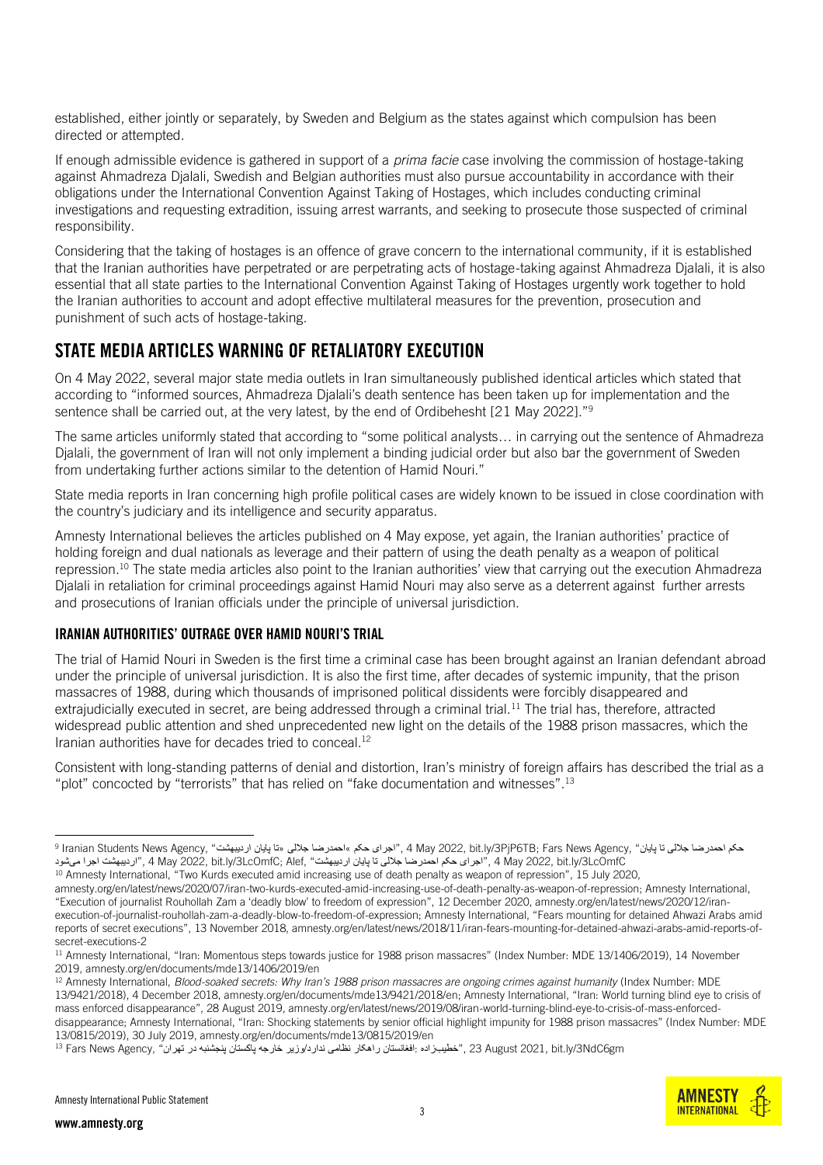established, either jointly or separately, by Sweden and Belgium as the states against which compulsion has been directed or attempted.

If enough admissible evidence is gathered in support of a *prima facie* case involving the commission of hostage-taking against Ahmadreza Djalali, Swedish and Belgian authorities must also pursue accountability in accordance with their obligations under the International Convention Against Taking of Hostages, which includes conducting criminal investigations and requesting extradition, issuing arrest warrants, and seeking to prosecute those suspected of criminal responsibility.

Considering that the taking of hostages is an offence of grave concern to the international community, if it is established that the Iranian authorities have perpetrated or are perpetrating acts of hostage-taking against Ahmadreza Djalali, it is also essential that all state parties to the International Convention Against Taking of Hostages urgently work together to hold the Iranian authorities to account and adopt effective multilateral measures for the prevention, prosecution and punishment of such acts of hostage-taking.

### STATE MEDIA ARTICLES WARNING OF RETALIATORY EXECUTION

On 4 May 2022, several major state media outlets in Iran simultaneously published identical articles which stated that according to "informed sources, Ahmadreza Djalali's death sentence has been taken up for implementation and the sentence shall be carried out, at the very latest, by the end of Ordibehesht [21 May 2022]."<sup>9</sup>

The same articles uniformly stated that according to "some political analysts… in carrying out the sentence of Ahmadreza Djalali, the government of Iran will not only implement a binding judicial order but also bar the government of Sweden from undertaking further actions similar to the detention of Hamid Nouri."

State media reports in Iran concerning high profile political cases are widely known to be issued in close coordination with the country's judiciary and its intelligence and security apparatus.

Amnesty International believes the articles published on 4 May expose, yet again, the Iranian authorities' practice of holding foreign and dual nationals as leverage and their pattern of using the death penalty as a weapon of political repression. <sup>10</sup> The state media articles also point to the Iranian authorities' view that carrying out the execution Ahmadreza Djalali in retaliation for criminal proceedings against Hamid Nouri may also serve as a deterrent against further arrests and prosecutions of Iranian officials under the principle of universal jurisdiction.

#### IRANIAN AUTHORITIES' OUTRAGE OVER HAMID NOURI'S TRIAL

The trial of Hamid Nouri in Sweden is the first time a criminal case has been brought against an Iranian defendant abroad under the principle of universal jurisdiction. It is also the first time, after decades of systemic impunity, that the prison massacres of 1988, during which thousands of imprisoned political dissidents were forcibly disappeared and extrajudicially executed in secret, are being addressed through a criminal trial.<sup>11</sup> The trial has, therefore, attracted widespread public attention and shed unprecedented new light on the details of the 1988 prison massacres, which the Iranian authorities have for decades tried to conceal. 12

Consistent with long-standing patterns of denial and distortion, Iran's ministry of foreign affairs has described the trial as a "plot" concocted by "terrorists" that has relied on "fake documentation and witnesses".<sup>13</sup>



<sup>9</sup> حکم احمدرضا جاللی تا پایان" ,Agency News Fars; TB6PjP/3ly.bit 2022, May 4 ,"اجرای حکم »احمدرضا جاللی «تا پایان اردیبهشت" ,Agency News Students Iranian LcOmfC/3ly.bit 2022, May 4 ,"اجرای حکم احمدرضا جاللی تا پایان اردیبهشت" ,Alef; LcOmfC/3ly.bit 2022, May 4 ,"اردیبهشت اجرا میشود

<sup>10</sup> Amnesty International, "Two Kurds executed amid increasing use of death penalty as weapon of repression", 15 July 2020,

amnesty.org/en/latest/news/2020/07/iran-two-kurds-executed-amid-increasing-use-of-death-penalty-as-weapon-of-repression; Amnesty International, "Execution of journalist Rouhollah Zam a 'deadly blow' to freedom of expression", 12 December 2020, amnesty.org/en/latest/news/2020/12/iranexecution-of-journalist-rouhollah-zam-a-deadly-blow-to-freedom-of-expression; Amnesty International, "Fears mounting for detained Ahwazi Arabs amid reports of secret executions", 13 November 2018, amnesty.org/en/latest/news/2018/11/iran-fears-mounting-for-detained-ahwazi-arabs-amid-reports-ofsecret-executions-2

<sup>11</sup> Amnesty International, "Iran: Momentous steps towards justice for 1988 prison massacres" (Index Number: MDE 13/1406/2019), 14 November 2019, amnesty.org/en/documents/mde13/1406/2019/en

<sup>12</sup> Amnesty International, *Blood-soaked secrets: Why Iran's 1988 prison massacres are ongoing crimes against humanity* (Index Number: MDE 13/9421/2018), 4 December 2018, [amnesty.org/en/documents/mde13/9421/2018/en](https://www.amnesty.org/en/documents/mde13/9421/2018/en/); Amnesty International, "Iran: World turning blind eye to crisis of mass enforced disappearance", 28 August 2019, amnesty.org/en/latest/news/2019/08/iran-world-turning-blind-eye-to-crisis-of-mass-enforceddisappearance; Amnesty International, "Iran: Shocking statements by senior official highlight impunity for 1988 prison massacres" (Index Number: MDE 13/0815/2019), 30 July 2019, amnesty.org/en/documents/mde13/0815/2019/en

gm6) او "خطیب زاده :افغانستان راهکار نظامی ندارد/وزیر خارجه پاکستان پنجشنبه در تهران" ,Fars News Agency 7 ،"خطيبزاده :"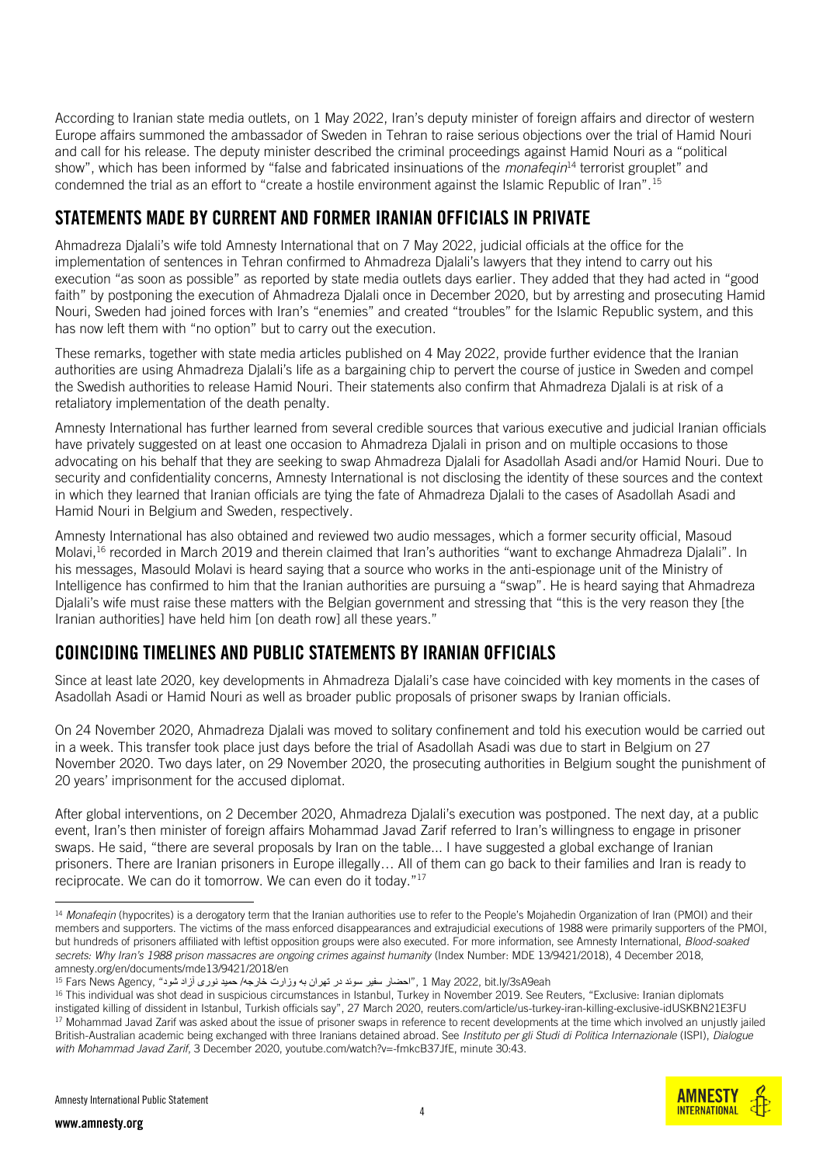According to Iranian state media outlets, on 1 May 2022, Iran's deputy minister of foreign affairs and director of western Europe affairs summoned the ambassador of Sweden in Tehran to raise serious objections over the trial of Hamid Nouri and call for his release. The deputy minister described the criminal proceedings against Hamid Nouri as a "political show", which has been informed by "false and fabricated insinuations of the *monafeqin*<sup>14</sup> terrorist grouplet" and condemned the trial as an effort to "create a hostile environment against the Islamic Republic of Iran".<sup>15</sup>

## STATEMENTS MADE BY CURRENT AND FORMER IRANIAN OFFICIALS IN PRIVATE

Ahmadreza Djalali's wife told Amnesty International that on 7 May 2022, judicial officials at the office for the implementation of sentences in Tehran confirmed to Ahmadreza Djalali's lawyers that they intend to carry out his execution "as soon as possible" as reported by state media outlets days earlier. They added that they had acted in "good faith" by postponing the execution of Ahmadreza Dialali once in December 2020, but by arresting and prosecuting Hamid Nouri, Sweden had joined forces with Iran's "enemies" and created "troubles" for the Islamic Republic system, and this has now left them with "no option" but to carry out the execution.

These remarks, together with state media articles published on 4 May 2022, provide further evidence that the Iranian authorities are using Ahmadreza Djalali's life as a bargaining chip to pervert the course of justice in Sweden and compel the Swedish authorities to release Hamid Nouri. Their statements also confirm that Ahmadreza Djalali is at risk of a retaliatory implementation of the death penalty.

Amnesty International has further learned from several credible sources that various executive and judicial Iranian officials have privately suggested on at least one occasion to Ahmadreza Djalali in prison and on multiple occasions to those advocating on his behalf that they are seeking to swap Ahmadreza Djalali for Asadollah Asadi and/or Hamid Nouri. Due to security and confidentiality concerns, Amnesty International is not disclosing the identity of these sources and the context in which they learned that Iranian officials are tying the fate of Ahmadreza Djalali to the cases of Asadollah Asadi and Hamid Nouri in Belgium and Sweden, respectively.

Amnesty International has also obtained and reviewed two audio messages, which a former security official, Masoud Molavi,<sup>16</sup> recorded in March 2019 and therein claimed that Iran's authorities "want to exchange Ahmadreza Djalali". In his messages, Masould Molavi is heard saying that a source who works in the anti-espionage unit of the Ministry of Intelligence has confirmed to him that the Iranian authorities are pursuing a "swap". He is heard saying that Ahmadreza Djalali's wife must raise these matters with the Belgian government and stressing that "this is the very reason they [the Iranian authorities] have held him [on death row] all these years."

# COINCIDING TIMELINES AND PUBLIC STATEMENTS BY IRANIAN OFFICIALS

Since at least late 2020, key developments in Ahmadreza Djalali's case have coincided with key moments in the cases of Asadollah Asadi or Hamid Nouri as well as broader public proposals of prisoner swaps by Iranian officials.

On 24 November 2020, Ahmadreza Djalali was moved to solitary confinement and told his execution would be carried out in a week. This transfer took place just days before the trial of Asadollah Asadi was due to start in Belgium on 27 November 2020. Two days later, on 29 November 2020, the prosecuting authorities in Belgium sought the punishment of 20 years' imprisonment for the accused diplomat.

After global interventions, on 2 December 2020, Ahmadreza Djalali's execution was postponed. The next day, at a public event, Iran's then minister of foreign affairs Mohammad Javad Zarif referred to Iran's willingness to engage in prisoner swaps. He said, "there are several proposals by Iran on the table... I have suggested a global exchange of Iranian prisoners. There are Iranian prisoners in Europe illegally… All of them can go back to their families and Iran is ready to reciprocate. We can do it tomorrow. We can even do it today." 17



<sup>&</sup>lt;sup>14</sup> Monafeqin (hypocrites) is a derogatory term that the Iranian authorities use to refer to the People's Mojahedin Organization of Iran (PMOI) and their members and supporters. The victims of the mass enforced disappearances and extrajudicial executions of 1988 were primarily supporters of the PMOI, but hundreds of prisoners affiliated with leftist opposition groups were also executed. For more information, see Amnesty International, *Blood-soaked*  secrets: Why Iran's 1988 prison massacres are ongoing crimes against humanity (Index Number: MDE 13/9421/2018), 4 December 2018, [amnesty.org/en/documents/mde13/9421/2018/en](https://www.amnesty.org/en/documents/mde13/9421/2018/en/)

<sup>&</sup>lt;sup>15</sup> Fars News Agency[,](https://bit.ly/3sA9eah) "احضار سفیر سوئد در تهران به وزارت خارجه/ حمید نوری آزاد شود " Fars News Agency, " , ا

<sup>&</sup>lt;sup>16</sup> This individual was shot dead in suspicious circumstances in Istanbul, Turkey in November 2019. See Reuters, "Exclusive: Iranian diplomats instigated killing of dissident in Istanbul, Turkish officials say", 27 March 2020, reuters.com/article/us-turkey-iran-killing-exclusive-idUSKBN21E3FU <sup>17</sup> Mohammad Javad Zarif was asked about the issue of prisoner swaps in reference to recent developments at the time which involved an unjustly jailed British-Australian academic being exchanged with three Iranians detained abroad. See *Instituto per gli Studi di Politica Internazionale* (ISPI), *Dialogue with Mohammad Javad Zarif*, 3 December 2020[, youtube.com/watch?v=-fmkcB37JfE,](https://www.youtube.com/watch?v=-fmkcB37JfE) minute 30:43.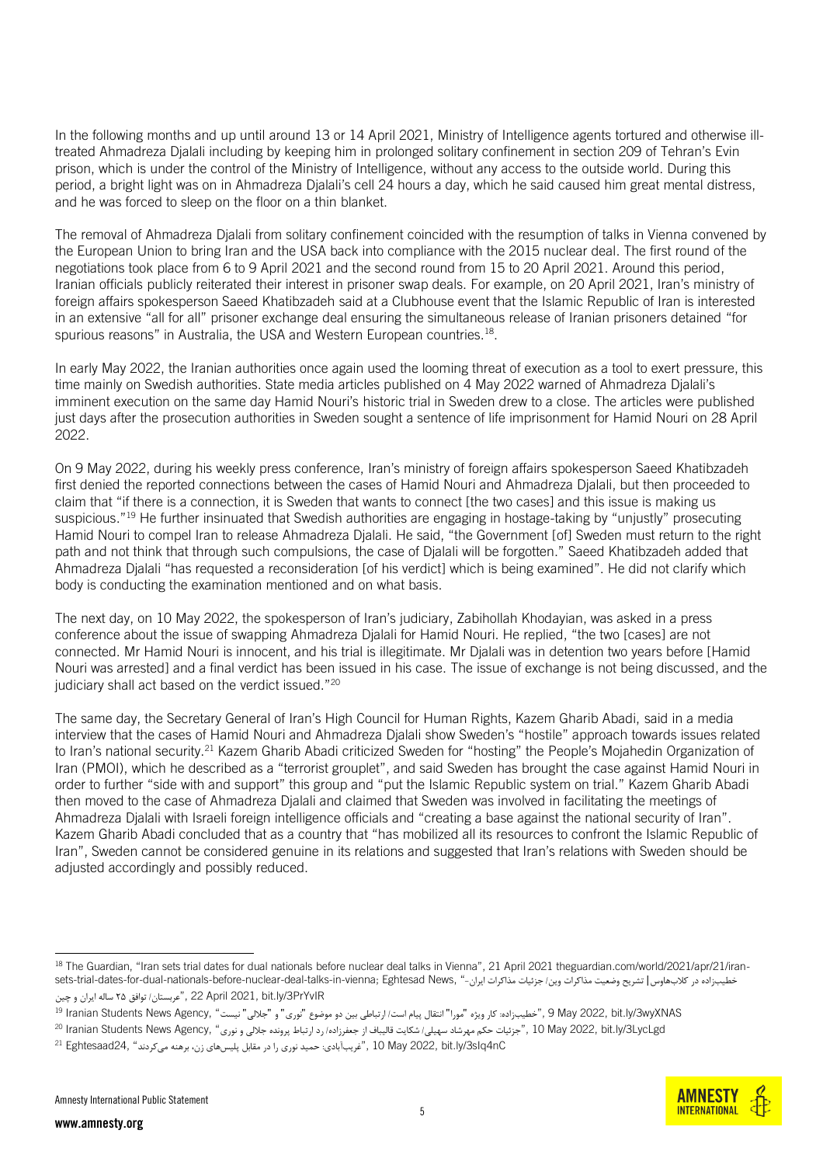In the following months and up until around 13 or 14 April 2021, Ministry of Intelligence agents tortured and otherwise illtreated Ahmadreza Djalali including by keeping him in prolonged solitary confinement in section 209 of Tehran's Evin prison, which is under the control of the Ministry of Intelligence, without any access to the outside world. During this period, a bright light was on in Ahmadreza Djalali's cell 24 hours a day, which he said caused him great mental distress, and he was forced to sleep on the floor on a thin blanket.

The removal of Ahmadreza Djalali from solitary confinement coincided with the resumption of talks in Vienna convened by the European Union to bring Iran and the USA back into compliance with the 2015 nuclear deal. The first round of the negotiations took place from 6 to 9 April 2021 and the second round from 15 to 20 April 2021. Around this period, Iranian officials publicly reiterated their interest in prisoner swap deals. For example, on 20 April 2021, Iran's ministry of foreign affairs spokesperson Saeed Khatibzadeh said at a Clubhouse event that the Islamic Republic of Iran is interested in an extensive "all for all" prisoner exchange deal ensuring the simultaneous release of Iranian prisoners detained "for spurious reasons" in Australia, the USA and Western European countries.<sup>18</sup>.

In early May 2022, the Iranian authorities once again used the looming threat of execution as a tool to exert pressure, this time mainly on Swedish authorities. State media articles published on 4 May 2022 warned of Ahmadreza Djalali's imminent execution on the same day Hamid Nouri's [historic trial in Sweden](https://www.amnesty.org/en/documents/mde13/1406/2019/en/) drew to a close. The articles were published just days after the prosecution authorities in Sweden sought a sentence of life imprisonment for Hamid Nouri on 28 April 2022.

On 9 May 2022, during his weekly press conference, Iran's ministry of foreign affairs spokesperson Saeed Khatibzadeh first denied the reported connections between the cases of Hamid Nouri and Ahmadreza Djalali, but then proceeded to claim that "if there is a connection, it is Sweden that wants to connect [the two cases] and this issue is making us suspicious."<sup>19</sup> He further insinuated that Swedish authorities are engaging in hostage-taking by "unjustly" prosecuting Hamid Nouri to compel Iran to release Ahmadreza Djalali. He said, "the Government [of] Sweden must return to the right path and not think that through such compulsions, the case of Djalali will be forgotten." Saeed Khatibzadeh added that Ahmadreza Djalali "has requested a reconsideration [of his verdict] which is being examined". He did not clarify which body is conducting the examination mentioned and on what basis.

The next day, on 10 May 2022, the spokesperson of Iran's judiciary, Zabihollah Khodayian, was asked in a press conference about the issue of swapping Ahmadreza Djalali for Hamid Nouri. He replied, "the two [cases] are not connected. Mr Hamid Nouri is innocent, and his trial is illegitimate. Mr Djalali was in detention two years before [Hamid Nouri was arrested] and a final verdict has been issued in his case. The issue of exchange is not being discussed, and the judiciary shall act based on the verdict issued."<sup>20</sup>

The same day, the Secretary General of Iran's High Council for Human Rights, Kazem Gharib Abadi, said in a media interview that the cases of Hamid Nouri and Ahmadreza Djalali show Sweden's "hostile" approach towards issues related to Iran's national security.<sup>21</sup> Kazem Gharib Abadi criticized Sweden for "hosting" the People's Mojahedin Organization of Iran (PMOI), which he described as a "terrorist grouplet", and said Sweden has brought the case against Hamid Nouri in order to further "side with and support" this group and "put the Islamic Republic system on trial." Kazem Gharib Abadi then moved to the case of Ahmadreza Djalali and claimed that Sweden was involved in facilitating the meetings of Ahmadreza Djalali with Israeli foreign intelligence officials and "creating a base against the national security of Iran". Kazem Gharib Abadi concluded that as a country that "has mobilized all its resources to confront the Islamic Republic of Iran", Sweden cannot be considered genuine in its relations and suggested that Iran's relations with Sweden should be adjusted accordingly and possibly reduced.

**AMNEST INTERNATIONAL** 

<sup>&</sup>lt;sup>18</sup> The Guardian, "Iran sets trial dates for dual nationals before nuclear deal talks in Vienna", 21 April 2021 theguardian.com/world/2021/apr/21/iran-خطیبزاده در کلابهاوس| تشریح وضعیت مذاکرات وین/ جزئیات مذاکرات ایران-" ,sets-trial-dates-for-dual-nationals-before-nuclear-deal-talks-in-vienna; Eghtesad News PrYvIR/3ly.bit 2021, April 22 ,"عربستان/ توافق ۲۵ ساله ایران و چین

<sup>9</sup> May 2022, bit.ly/3wyXNAS, خطیبزاده: کار ویژه "مورا" انتقال پیام است/ ارتباطی بین دو موضوع "نوری" و "جلالی" نیست " Ianian Students News Agency, "خطیبزاده: كار ویژه "مورا" انتقال پیام است/ ارتباطی بین دو موضوع "نوری" و "ج

 $^{20}$  Iranian Students News Agency, "جزئیات حکم مهرشاد سهیلی/ شکایت قالیباف از جعفرزاده/ رد ارتباط پرونده جلالی و نوری " , 10 May 2022, bit.ly/3LycLgd

[nC4sIq/3ly.bit](https://bit.ly/3sIq4nC) 2022, May 10 ,"غریب آبادی: حمید نوری را در مقابل پلیس های زن، برهنه می کردند " 24,Eghtesaad <sup>21</sup>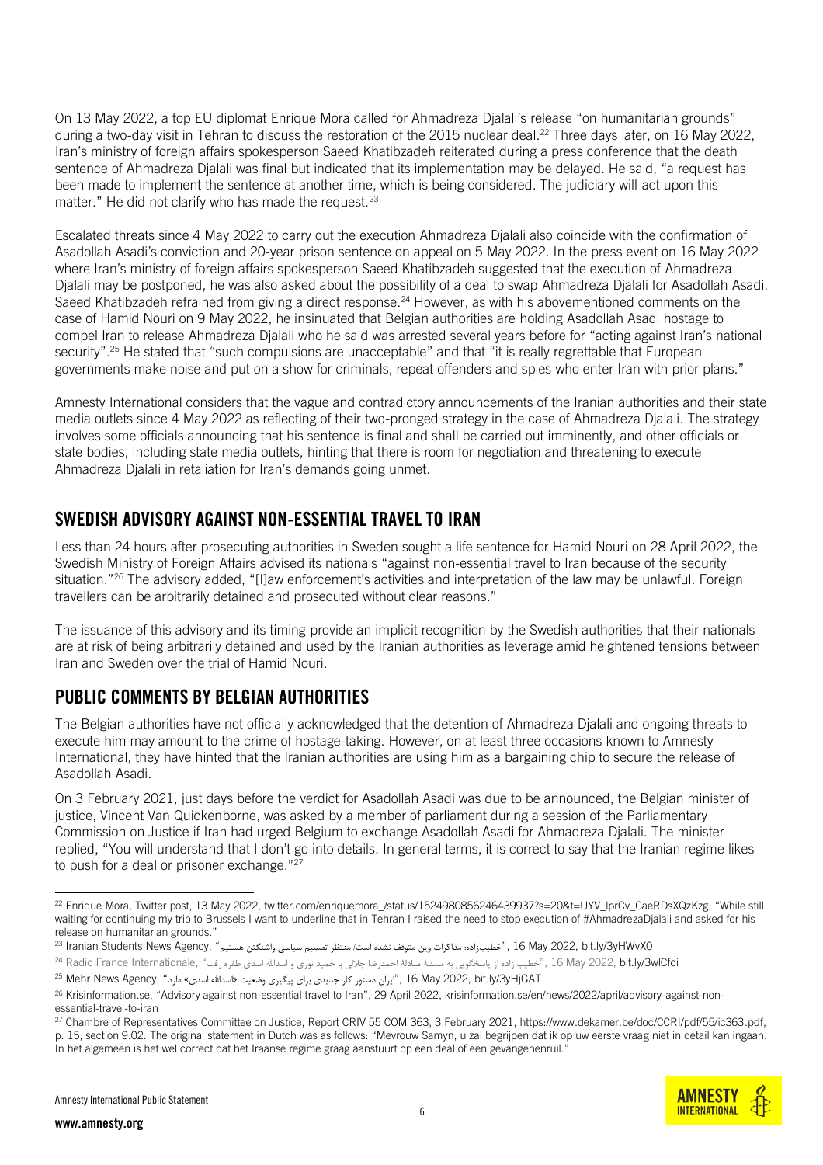On 13 May 2022, a top EU diplomat Enrique Mora called for Ahmadreza Djalali's release "on humanitarian grounds" during a two-day visit in Tehran to discuss the restoration of the 2015 nuclear deal.<sup>22</sup> Three days later, on  $16$  May 2022, Iran's ministry of foreign affairs spokesperson Saeed Khatibzadeh reiterated during a press conference that the death sentence of Ahmadreza Djalali was final but indicated that its implementation may be delayed. He said, "a request has been made to implement the sentence at another time, which is being considered. The judiciary will act upon this matter." He did not clarify who has made the request. $23$ 

Escalated threats since 4 May 2022 to carry out the execution Ahmadreza Djalali also coincide with the confirmation of Asadollah Asadi's conviction and 20-year prison sentence on appeal on 5 May 2022. In the press event on 16 May 2022 where Iran's ministry of foreign affairs spokesperson Saeed Khatibzadeh suggested that the execution of Ahmadreza Djalali may be postponed, he was also asked about the possibility of a deal to swap Ahmadreza Djalali for Asadollah Asadi. Saeed Khatibzadeh refrained from giving a direct response. <sup>24</sup> However, as with his abovementioned comments on the case of Hamid Nouri on 9 May 2022, he insinuated that Belgian authorities are holding Asadollah Asadi hostage to compel Iran to release Ahmadreza Djalali who he said was arrested several years before for "acting against Iran's national security". <sup>25</sup> He stated that "such compulsions are unacceptable" and that "it is really regrettable that European governments make noise and put on a show for criminals, repeat offenders and spies who enter Iran with prior plans."

Amnesty International considers that the vague and contradictory announcements of the Iranian authorities and their state media outlets since 4 May 2022 as reflecting of their two-pronged strategy in the case of Ahmadreza Djalali. The strategy involves some officials announcing that his sentence is final and shall be carried out imminently, and other officials or state bodies, including state media outlets, hinting that there is room for negotiation and threatening to execute Ahmadreza Djalali in retaliation for Iran's demands going unmet.

### SWEDISH ADVISORY AGAINST NON-ESSENTIAL TRAVEL TO IRAN

Less than 24 hours after prosecuting authorities in Sweden sought a life sentence for Hamid Nouri on 28 April 2022, the Swedish Ministry of Foreign Affairs advised its nationals "against non-essential travel to Iran because of the security situation." <sup>26</sup> The advisory added, "[l]aw enforcement's activities and interpretation of the law may be unlawful. Foreign travellers can be arbitrarily detained and prosecuted without clear reasons."

The issuance of this advisory and its timing provide an implicit recognition by the Swedish authorities that their nationals are at risk of being arbitrarily detained and used by the Iranian authorities as leverage amid heightened tensions between Iran and Sweden over the trial of Hamid Nouri.

# PUBLIC COMMENTS BY BELGIAN AUTHORITIES

The Belgian authorities have not officially acknowledged that the detention of Ahmadreza Djalali and ongoing threats to execute him may amount to the crime of hostage-taking. However, on at least three occasions known to Amnesty International, they have hinted that the Iranian authorities are using him as a bargaining chip to secure the release of Asadollah Asadi.

On 3 February 2021, just days before the verdict for Asadollah Asadi was due to be announced, the Belgian minister of justice, Vincent Van Quickenborne, was asked by a member of parliament during a session of the Parliamentary Commission on Justice if Iran had urged Belgium to exchange Asadollah Asadi for Ahmadreza Djalali. The minister replied, "You will understand that I don't go into details. In general terms, it is correct to say that the Iranian regime likes to push for a deal or prisoner exchange."<sup>27</sup>

**AMNEST INTERNATIONAL** 

<sup>&</sup>lt;sup>22</sup> Enrique Mora, Twitter post, 13 May 2022, twitter.com/enriquemora /status/1524980856246439937?s=20&t=UYV\_lprCv\_CaeRDsXQzKzg: "While still waiting for continuing my trip to Brussels I want to underline that in Tehran I raised the need to stop execution of #AhmadrezaDjalali and asked for his release on humanitarian grounds."

<sup>0</sup>yHWvX0 ,"خطیبزاده: مذاکرات وین متوقف نشده است/ منتظر تصمیم سیاسی واشنگتن هستیم" ,Agency , "متعلق تصمیم سیاسی واشنگتن هستیم" ,Agency و <sup>23</sup> Iranian Students News Agency

a Radio France Internationale, "خطیب زاده از پاسخگویی به مسئلۀ مبادلۀ احمدرضا جلالی با حمید نوری و اسدالله اسدی طفره رفت" ,I6 May 2022, **bit.ly/3wlCfci** با Padio France Internationale

<sup>&</sup>lt;sup>25</sup> Mehr News Agency, "ایران دستور کار جدیدی برای پیگیری وضعیت «اسدالله اسدی» دارد " ,Agency News Agency <sup>25</sup>

<sup>26</sup> Krisinformation.se, "Advisory against non-essential travel to Iran", 29 April 2022, krisinformation.se/en/news/2022/april/advisory-against-nonessential-travel-to-iran

<sup>27</sup> Chambre of Representatives Committee on Justice, Report CRIV 55 COM 363, 3 February 2021, https://www.dekamer.be/doc/CCRI/pdf/55/ic363.pdf, p. 15, section 9.02. The original statement in Dutch was as follows: "Mevrouw Samyn, u zal begrijpen dat ik op uw eerste vraag niet in detail kan ingaan.

In het algemeen is het wel correct dat het Iraanse regime graag aanstuurt op een deal of een gevangenenruil."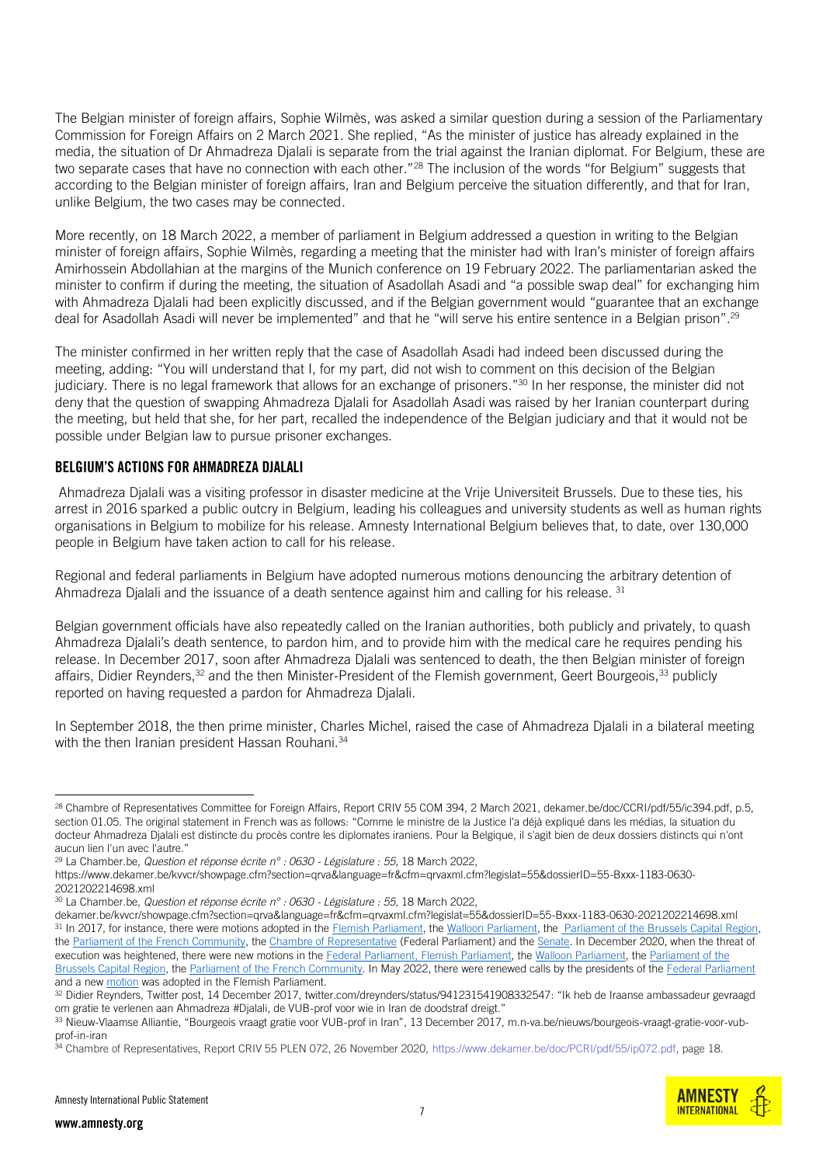The Belgian minister of foreign affairs, Sophie Wilmès, was asked a similar question during a session of the Parliamentary Commission for Foreign Affairs on 2 March 2021. She replied, "As the minister of justice has already explained in the media, the situation of Dr Ahmadreza Djalali is separate from the trial against the Iranian diplomat. For Belgium, these are two separate cases that have no connection with each other."<sup>28</sup> The inclusion of the words "for Belgium" suggests that according to the Belgian minister of foreign affairs, Iran and Belgium perceive the situation differently, and that for Iran, unlike Belgium, the two cases may be connected.

More recently, on 18 March 2022, a member of parliament in Belgium addressed a question in writing to the Belgian minister of foreign affairs, Sophie Wilmès, regarding a meeting that the minister had with Iran's minister of foreign affairs Amirhossein Abdollahian at the margins of the Munich conference on 19 February 2022. The parliamentarian asked the minister to confirm if during the meeting, the situation of Asadollah Asadi and "a possible swap deal" for exchanging him with Ahmadreza Djalali had been explicitly discussed, and if the Belgian government would "guarantee that an exchange deal for Asadollah Asadi will never be implemented" and that he "will serve his entire sentence in a Belgian prison".<sup>29</sup>

The minister confirmed in her written reply that the case of Asadollah Asadi had indeed been discussed during the meeting, adding: "You will understand that I, for my part, did not wish to comment on this decision of the Belgian judiciary. There is no legal framework that allows for an exchange of prisoners."<sup>30</sup> In her response, the minister did not deny that the question of swapping Ahmadreza Djalali for Asadollah Asadi was raised by her Iranian counterpart during the meeting, but held that she, for her part, recalled the independence of the Belgian judiciary and that it would not be possible under Belgian law to pursue prisoner exchanges.

#### BELGIUM'S ACTIONS FOR AHMADREZA DJALALI

Ahmadreza Djalali was a visiting professor in disaster medicine at the Vrije Universiteit Brussels. Due to these ties, his arrest in 2016 sparked a public outcry in Belgium, leading his colleagues and university students as well as human rights organisations in Belgium to mobilize for his release. Amnesty International Belgium believes that, to date, over 130,000 people in Belgium have taken action to call for his release.

Regional and federal parliaments in Belgium have adopted numerous motions denouncing the arbitrary detention of Ahmadreza Djalali and the issuance of a death sentence against him and calling for his release.  $31$ 

Belgian government officials have also repeatedly called on the Iranian authorities, both publicly and privately, to quash Ahmadreza Djalali's death sentence, to pardon him, and to provide him with the medical care he requires pending his release. In December 2017, soon after Ahmadreza Djalali was sentenced to death, the then Belgian minister of foreign affairs, Didier Reynders,<sup>32</sup> and the then Minister-President of the Flemish government, Geert Bourgeois,<sup>33</sup> publicly reported on having requested a pardon for Ahmadreza Djalali.

In September 2018, the then prime minister, Charles Michel, raised the case of Ahmadreza Djalali in a bilateral meeting with the then Iranian president Hassan Rouhani.<sup>34</sup>

[https://www.dekamer.be/kvvcr/showpage.cfm?section=qrva&language=fr&cfm=qrvaxml.cfm?legislat=55&dossierID=55-Bxxx-1183-0630-](https://www.dekamer.be/kvvcr/showpage.cfm?section=qrva&language=fr&cfm=qrvaxml.cfm?legislat=55&dossierID=55-Bxxx-1183-0630-2021202214698.xml) [2021202214698.xml](https://www.dekamer.be/kvvcr/showpage.cfm?section=qrva&language=fr&cfm=qrvaxml.cfm?legislat=55&dossierID=55-Bxxx-1183-0630-2021202214698.xml)

<sup>28</sup> Chambre of Representatives Committee for Foreign Affairs, Report CRIV 55 COM 394, 2 March 2021, dekamer.be/doc/CCRI/pdf/55/ic394.pdf, p.5, section 01.05. The original statement in French was as follows: "Comme le ministre de la Justice l'a déjà expliqué dans les médias, la situation du docteur Ahmadreza Djalali est distincte du procès contre les diplomates iraniens. Pour la Belgique, il s'agit bien de deux dossiers distincts qui n'ont aucun lien l'un avec l'autre."

<sup>29</sup> La Chamber.be, *Question et réponse écrite n° : 0630 - Législature : 55*, 18 March 2022,

<sup>30</sup> La Chamber.be, *Question et réponse écrite n° : 0630 - Législature : 55*, 18 March 2022,

[dekamer.be/kvvcr/showpage.cfm?section=qrva&language=fr&cfm=qrvaxml.cfm?legislat=55&dossierID=55-Bxxx-1183-0630-2021202214698.xml](https://www.dekamer.be/kvvcr/showpage.cfm?section=qrva&language=fr&cfm=qrvaxml.cfm?legislat=55&dossierID=55-Bxxx-1183-0630-2021202214698.xml) 31 In 2017, for instance, there were motions adopted in th[e Flemish Parliament,](https://docs.vlaamsparlement.be/pfile?id=1352049) the [Walloon Parliament,](http://nautilus.parlement-wallon.be/Archives/2017_2018/RES/971_1.pdf) the [Parliament of the Brussels Capital Region,](http://weblex.brussels/data/crb/doc/2017-18/133774/images.pdf) th[e Parliament of the French Community,](https://www.pfwb.be/le-travail-du-parlement/doc-et-pub/documents-parlementaires-et-decrets/documents/001580415) the [Chambre of Representative](https://www.dekamer.be/FLWB/PDF/54/2776/54K2776008.pdf) (Federal Parliament) and th[e Senate.](https://www.senate.be/www/webdriver?MItabObj=pdf&MIcolObj=pdf&MInamObj=pdfid&MItypeObj=application/pdf&MIvalObj=100663816) In December 2020, when the threat of execution was heightened, there were new motions in th[e Federal Parliament](https://www.dekamer.be/FLWB/PDF/55/1684/55K1684003.pdf)[, Flemish Parliament,](https://www.vlaamsparlement.be/nl/parlementaire-documenten/parlementaire-initiatieven/1409252) the [Walloon Parliament,](https://www.parlement-wallonie.be/pwpages?p=doc-recherche-det&iddoc=100538) the Parliament of the [Brussels Capital Region,](http://weblex.brussels/data/crb/doc/2020-21/140458/images.pdf) the [Parliament of the French Community.](https://www.pfwb.be/le-travail-du-parlement/doc-et-pub/documents-parlementaires-et-decrets/documents/001676426) In May 2022, there were renewed calls by the presidents of the [Federal Parliament](https://www.nieuwsblad.be/cnt/dmf20220505_94868537) and a new [motion](https://www.vlaamsparlement.be/nl/parlementaire-documenten/parlementaire-initiatieven/1633042) was adopted in the Flemish Parliament.

<sup>32</sup> Didier Reynders, Twitter post, 14 December 2017[, twitter.com/dreynders/status/941231541908332547](https://twitter.com/dreynders/status/941231541908332547): "Ik heb de Iraanse ambassadeur gevraagd om gratie te verlenen aan Ahmadreza #Djalali, de VUB-prof voor wie in Iran de doodstraf dreigt."

<sup>33</sup> Nieuw-Vlaamse Alliantie, "Bourgeois vraagt gratie voor VUB-prof in Iran", 13 December 2017, [m.n-va.be/nieuws/bourgeois-vraagt-gratie-voor-vub](https://m.n-va.be/nieuws/bourgeois-vraagt-gratie-voor-vub-prof-in-iran)[prof-in-iran](https://m.n-va.be/nieuws/bourgeois-vraagt-gratie-voor-vub-prof-in-iran) 

<sup>34</sup> Chambre of Representatives, Report CRIV 55 PLEN 072, 26 November 2020, [https://www.dekamer.be/doc/PCRI/pdf/55/ip072.pdf,](https://www.dekamer.be/doc/PCRI/pdf/55/ip072.pdf) page 18.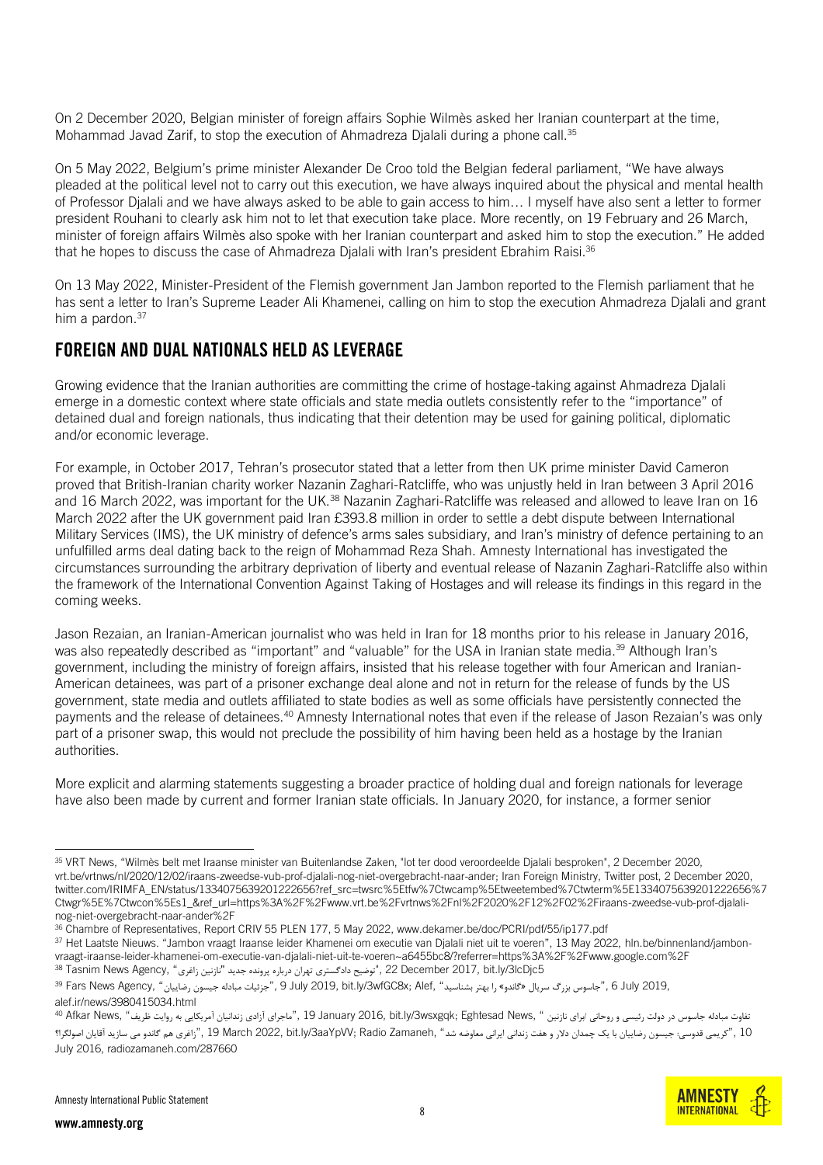On 2 December 2020, Belgian minister of foreign affairs Sophie Wilmès asked her Iranian counterpart at the time, Mohammad Javad Zarif, to stop the execution of Ahmadreza Djalali during a phone call.<sup>35</sup>

On 5 May 2022, Belgium's prime minister Alexander De Croo told the Belgian federal parliament, "We have always pleaded at the political level not to carry out this execution, we have always inquired about the physical and mental health of Professor Djalali and we have always asked to be able to gain access to him… I myself have also sent a letter to former president Rouhani to clearly ask him not to let that execution take place. More recently, on 19 February and 26 March, minister of foreign affairs Wilmès also spoke with her Iranian counterpart and asked him to stop the execution." He added that he hopes to discuss the case of Ahmadreza Djalali with Iran's president Ebrahim Raisi.<sup>36</sup>

On 13 May 2022, Minister-President of the Flemish government Jan Jambon reported to the Flemish parliament that he has sent a letter to Iran's Supreme Leader Ali Khamenei, calling on him to stop the execution Ahmadreza Djalali and grant him a pardon.<sup>37</sup>

### FOREIGN AND DUAL NATIONALS HELD AS LEVERAGE

Growing evidence that the Iranian authorities are committing the crime of hostage-taking against Ahmadreza Djalali emerge in a domestic context where state officials and state media outlets consistently refer to the "importance" of detained dual and foreign nationals, thus indicating that their detention may be used for gaining political, diplomatic and/or economic leverage.

For example, in October 2017, Tehran's prosecutor stated that a letter from then UK prime minister David Cameron proved that British-Iranian charity worker Nazanin Zaghari-Ratcliffe, who was unjustly held in Iran between 3 April 2016 and 16 March 2022, was important for the UK.<sup>38</sup> Nazanin Zaghari-Ratcliffe was released and allowed to leave Iran on 16 March 2022 after the UK government paid Iran £393.8 million in order to settle a debt dispute between International Military Services (IMS), the UK ministry of defence's arms sales subsidiary, and Iran's ministry of defence pertaining to an unfulfilled arms deal dating back to the reign of Mohammad Reza Shah. Amnesty International has investigated the circumstances surrounding the arbitrary deprivation of liberty and eventual release of Nazanin Zaghari-Ratcliffe also within the framework of the International Convention Against Taking of Hostages and will release its findings in this regard in the coming weeks.

Jason Rezaian, an Iranian-American journalist who was held in Iran for 18 months prior to his release in January 2016, was also repeatedly described as "important" and "valuable" for the USA in Iranian state media.<sup>39</sup> Although Iran's government, including the ministry of foreign affairs, insisted that his release together with four American and Iranian-American detainees, was part of a prisoner exchange deal alone and not in return for the release of funds by the US government, state media and outlets affiliated to state bodies as well as some officials have persistently connected the payments and the release of detainees.<sup>40</sup> Amnesty International notes that even if the release of Jason Rezaian's was only part of a prisoner swap, this would not preclude the possibility of him having been held as a hostage by the Iranian authorities.

More explicit and alarming statements suggesting a broader practice of holding dual and foreign nationals for leverage have also been made by current and former Iranian state officials. In January 2020, for instance, a former senior

37 Het Laatste Nieuws. "Jambon vraagt Iraanse leider Khamenei om executie van Djalali niet uit te voeren", 13 May 2022, [hln.be/binnenland/jambon](https://www.hln.be/binnenland/jambon-vraagt-iraanse-leider-khamenei-om-executie-van-djalali-niet-uit-te-voeren~a6455bc8/?referrer=https%3A%2F%2Fwww.google.com%2F)[vraagt-iraanse-leider-khamenei-om-executie-van-djalali-niet-uit-te-voeren~a6455bc8/?referrer=https%3A%2F%2Fwww.google.com%2F](https://www.hln.be/binnenland/jambon-vraagt-iraanse-leider-khamenei-om-executie-van-djalali-niet-uit-te-voeren~a6455bc8/?referrer=https%3A%2F%2Fwww.google.com%2F)  5s Tasnim News Agency, "توضیح دادگستری تهران درباره پرونده جدید "نازنین زاغری" ,Agency (1385) 38 Tasnim News Agency

<sup>35</sup> VRT News, "Wilmès belt met Iraanse minister van Buitenlandse Zaken, "lot ter dood veroordeelde Djalali besproken", 2 December 2020, [vrt.be/vrtnws/nl/2020/12/02/iraans-zweedse-vub-prof-djalali-nog-niet-overgebracht-naar-ander;](https://www.vrt.be/vrtnws/nl/2020/12/02/iraans-zweedse-vub-prof-djalali-nog-niet-overgebracht-naar-ander/) Iran Foreign Ministry, Twitter post, 2 December 2020, [twitter.com/IRIMFA\\_EN/status/1334075639201222656?ref\\_src=twsrc%5Etfw%7Ctwcamp%5Etweetembed%7Ctwterm%5E1334075639201222656%7](https://twitter.com/IRIMFA_EN/status/1334075639201222656?ref_src=twsrc%5Etfw%7Ctwcamp%5Etweetembed%7Ctwterm%5E1334075639201222656%7Ctwgr%5E%7Ctwcon%5Es1_&ref_url=https%3A%2F%2Fwww.vrt.be%2Fvrtnws%2Fnl%2F2020%2F12%2F02%2Firaans-zweedse-vub-prof-djalali-nog-niet-overgebracht-naar-ander%2F) [Ctwgr%5E%7Ctwcon%5Es1\\_&ref\\_url=https%3A%2F%2Fwww.vrt.be%2Fvrtnws%2Fnl%2F2020%2F12%2F02%2Firaans-zweedse-vub-prof-djalali](https://twitter.com/IRIMFA_EN/status/1334075639201222656?ref_src=twsrc%5Etfw%7Ctwcamp%5Etweetembed%7Ctwterm%5E1334075639201222656%7Ctwgr%5E%7Ctwcon%5Es1_&ref_url=https%3A%2F%2Fwww.vrt.be%2Fvrtnws%2Fnl%2F2020%2F12%2F02%2Firaans-zweedse-vub-prof-djalali-nog-niet-overgebracht-naar-ander%2F)[nog-niet-overgebracht-naar-ander%2F](https://twitter.com/IRIMFA_EN/status/1334075639201222656?ref_src=twsrc%5Etfw%7Ctwcamp%5Etweetembed%7Ctwterm%5E1334075639201222656%7Ctwgr%5E%7Ctwcon%5Es1_&ref_url=https%3A%2F%2Fwww.vrt.be%2Fvrtnws%2Fnl%2F2020%2F12%2F02%2Firaans-zweedse-vub-prof-djalali-nog-niet-overgebracht-naar-ander%2F)

<sup>36</sup> Chambre of Representatives, Report CRIV 55 PLEN 177, 5 May 2022, [www.dekamer.be/doc/PCRI/pdf/55/ip177.pdf](http://www.dekamer.be/doc/PCRI/pdf/55/ip177.pdf)

<sup>&</sup>lt;sup>39</sup> Fars News Agency, "جاسوس بزرگ سریال «گاندو» (,Alef; "جزئیات مبادله جیسون رضاییان" ،Agency و " جزئیات مبادله جیسون رضاییان" (Fars News Agency alef.ir/news/3980415034.html

تفاوت مبادله جاسوس در دولت رئیسی و روحانی /برای نازنین " ,News Eghtesad News (1 آباجرای آزادی زندانیان آمریکایی به روایت ظریف" Afkar News, ماجرای آنادی زندانیان آمریکایی به روایت ظریف" (Afkar News می 10 ,"کریمی قدوسی: جیسون رضاییان با یک چمدان دلار و هفت زندانی ایرانی معاوضه شد " , 19 March 2022, bit.ly/3aaYpVV; Radio Zamaneh "زاغری هم گاندو می سازید آقایان اصولگرا؟ July 2016[, radiozamaneh.com/287660](https://www.radiozamaneh.com/287660/)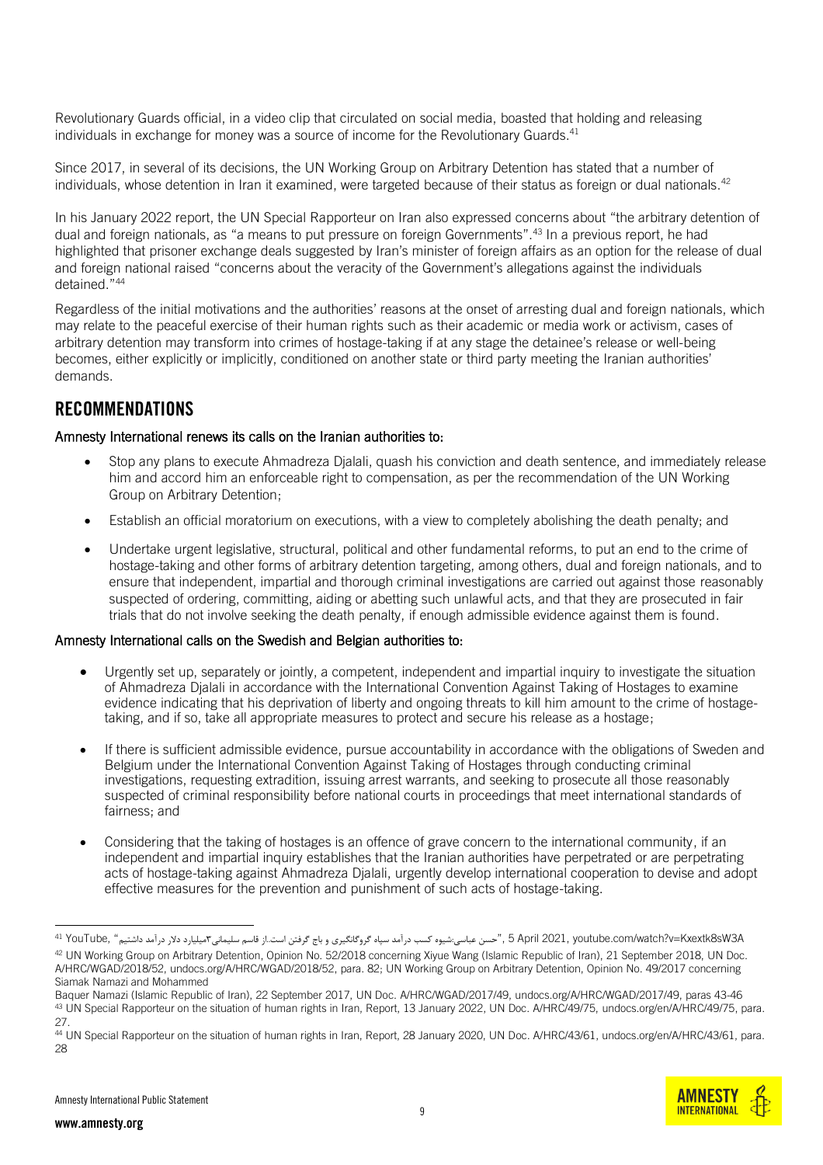Revolutionary Guards official, in a [video](https://www.youtube.com/watch?v=Kxextk8sW3A) clip that circulated on social media, boasted that holding and releasing individuals in exchange for money was a source of income for the Revolutionary Guards.<sup>41</sup>

Since 2017, in several of its decisions, the UN Working Group on Arbitrary Detention has stated that a number of individuals, whose detention in Iran it examined, were targeted because of their status as foreign or dual nationals.<sup>42</sup>

In his January 2022 report, the UN Special Rapporteur on Iran also expressed concerns about "the arbitrary detention of dual and foreign nationals, as "a means to put pressure on foreign Governments".<sup>43</sup> In a previous report, he had highlighted that prisoner exchange deals suggested by Iran's minister of foreign affairs as an option for the release of dual and foreign national raised "concerns about the veracity of the Government's allegations against the individuals detained."<sup>44</sup>

Regardless of the initial motivations and the authorities' reasons at the onset of arresting dual and foreign nationals, which may relate to the peaceful exercise of their human rights such as their academic or media work or activism, cases of arbitrary detention may transform into crimes of hostage-taking if at any stage the detainee's release or well-being becomes, either explicitly or implicitly, conditioned on another state or third party meeting the Iranian authorities' demands.

### RECOMMENDATIONS

#### Amnesty International renews its calls on the Iranian authorities to:

- Stop any plans to execute Ahmadreza Djalali, quash his conviction and death sentence, and immediately release him and accord him an enforceable right to compensation, as per the recommendation of the UN Working Group on Arbitrary Detention;
- Establish an official moratorium on executions, with a view to completely abolishing the death penalty; and
- Undertake urgent legislative, structural, political and other fundamental reforms, to put an end to the crime of hostage-taking and other forms of arbitrary detention targeting, among others, dual and foreign nationals, and to ensure that independent, impartial and thorough criminal investigations are carried out against those reasonably suspected of ordering, committing, aiding or abetting such unlawful acts, and that they are prosecuted in fair trials that do not involve seeking the death penalty, if enough admissible evidence against them is found.

#### Amnesty International calls on the Swedish and Belgian authorities to:

- Urgently set up, separately or jointly, a competent, independent and impartial inquiry to investigate the situation of Ahmadreza Djalali in accordance with the International Convention Against Taking of Hostages to examine evidence indicating that his deprivation of liberty and ongoing threats to kill him amount to the crime of hostagetaking, and if so, take all appropriate measures to protect and secure his release as a hostage;
- If there is sufficient admissible evidence, pursue accountability in accordance with the obligations of Sweden and Belgium under the International Convention Against Taking of Hostages through conducting criminal investigations, requesting extradition, issuing arrest warrants, and seeking to prosecute all those reasonably suspected of criminal responsibility before national courts in proceedings that meet international standards of fairness; and
- Considering that the taking of hostages is an offence of grave concern to the international community, if an independent and impartial inquiry establishes that the Iranian authorities have perpetrated or are perpetrating acts of hostage-taking against Ahmadreza Djalali, urgently develop international cooperation to devise and adopt effective measures for the prevention and punishment of such acts of hostage-taking.



A1 YouTube, "حسن عباسی:شیوه کسب درآمد سپاه گروگانگیری و باج گرفتن است.از قاسم سلیمانی۳میدارد دلار درآمد داشتیم" , 5 April 2021, youtube .com/watch?v=Kxextk8sW3A 42 UN Working Group on Arbitrary Detention, Opinion No. 52/2018 concerning Xiyue Wang (Islamic Republic of Iran), 21 September 2018, UN Doc. A/HRC/WGAD/2018/52, [undocs.org/A/HRC/WGAD/2018/52,](https://undocs.org/A/HRC/WGAD/2018/52) para. 82; UN Working Group on Arbitrary Detention, Opinion No. 49/2017 concerning Siamak Namazi and Mohammed

Baquer Namazi (Islamic Republic of Iran), 22 September 2017, UN Doc. A/HRC/WGAD/2017/49[, undocs.org/A/HRC/WGAD/2017/49,](https://undocs.org/A/HRC/WGAD/2017/49) paras 43-46 43 UN Special Rapporteur on the situation of human rights in Iran, Report, 13 January 2022, UN Doc. A/HRC/49/75, [undocs.org/en/A/HRC/49/75,](https://www.undocs.org/en/A/HRC/49/75) para. 27.

<sup>44</sup> UN Special Rapporteur on the situation of human rights in Iran, Report, 28 January 2020, UN Doc. A/HRC/43/61, undocs.org/en/A/HRC/43/61, para. 28